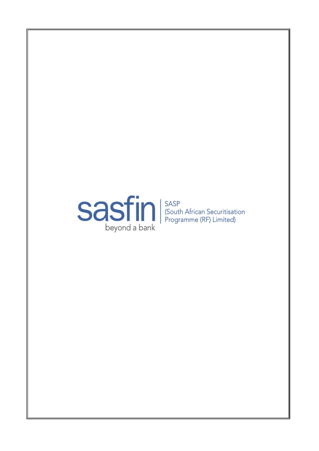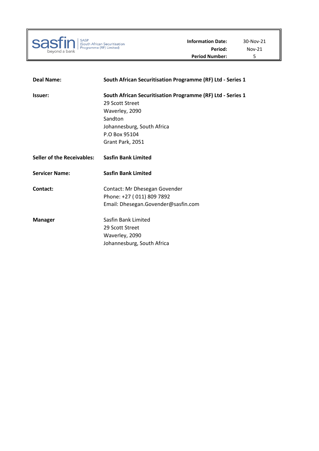

| <b>Deal Name:</b>                 | South African Securitisation Programme (RF) Ltd - Series 1                                                                                                                    |
|-----------------------------------|-------------------------------------------------------------------------------------------------------------------------------------------------------------------------------|
| Issuer:                           | South African Securitisation Programme (RF) Ltd - Series 1<br>29 Scott Street<br>Waverley, 2090<br>Sandton<br>Johannesburg, South Africa<br>P.O Box 95104<br>Grant Park, 2051 |
| <b>Seller of the Receivables:</b> | <b>Sasfin Bank Limited</b>                                                                                                                                                    |
| <b>Servicer Name:</b>             | <b>Sasfin Bank Limited</b>                                                                                                                                                    |
| Contact:                          | Contact: Mr Dhesegan Govender<br>Phone: +27 (011) 809 7892<br>Email: Dhesegan.Govender@sasfin.com                                                                             |
| <b>Manager</b>                    | Sasfin Bank Limited<br>29 Scott Street<br>Waverley, 2090<br>Johannesburg, South Africa                                                                                        |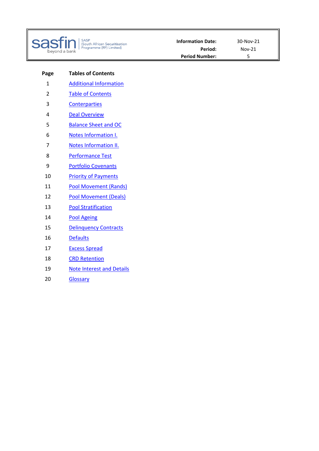

| SASP<br>| (South African Securitisation<br>| Programme (RF) Limited)

**Page Tables of Contents** 1 Additional Information 2 Table of Contents 3 Conterparties 4 Deal Overview 5 Balance Sheet and OC 6 Notes Information I. 7 **Notes Information II.** 8 Performance Test 9 Portfolio Covenants 10 Priority of Payments 11 Pool Movement (Rands) 12 Pool Movement (Deals) 13 Pool Stratification 14 Pool Ageing 15 Delinquency Contracts 16 Defaults 17 Excess Spread 18 CRD Retention 19 **Note Interest and Details** 20 Glossary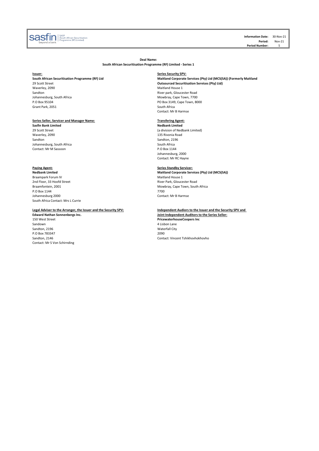

**Information Date:** 30-Nov-21 **Period:** Nov-21 Period Number: 5

**Deal Name:**

## **South African Securitisation Programme (RF) Limited - Series 1**

# **Issuer: Series Security SPV:**

Waverley, 2090 Sandton **Sandton River park, Gloucester Road** Sandton River park, Gloucester Road Johannesburg, South Africa **River park, Gloucester Road** Johannesburg, South Africa **Mower and South Africa** Mowbray, Cape Town, 7700 P.O Box 3149, Cape Town, 80 Grant Park, 2051

# **Series Seller, Servicer and Manager Name: Transfering Agent:**

**Sasfin Bank Limited Nedbank Limited** Waverley, 2090 135 Rivonia Road Johannesburg, South Africa<br>
Contact: Mr M Sassoon South Africa<br>
P.O Box 1144 Contact: Mr M Sassoon

**Paying Agent: Series Standby Servicer:** Braampark Forum IV and the second of the second of the second of the Maitland House 1 and Floor, 33 Hoofd Street and Street and The Street and The Street and The Street and The Street and The Street and The Street and The 2nd Floor, 33 Hoofd Street **River Park, Gloucester Road** Braamfontein, 2001<br>Braamfontein, 2001 P.O Box 1144<br>
Johannesburg 2000<br>
Contact: Mr B Harmse Johannesburg 2000 [South Africa Contact: Mrs L Currie](mailto:treasury@sasfin.com)

150 West Street **PricewaterhouseCoopers Inc** Sandton, 2196 Waterfall City of the City of the City of the City of the City of the City of the City of the City of the City of the City of the City of the City of the City of the City of the City of the City of the City o P.O Box 783347 Contact: Mr S Von Schirnding

**South African Securitisation Programme (RF) Ltd Maitland Corporate Services (Pty) Ltd (MCS(SA)) (Formerly Maitland Outsourced Securitisation Services (Pty) Ltd)**<br>Maitland House 1 PO Box 3149, Cape Town, 8000<br>South Africa Contact: Mr B Harmse

29 Scott Street (a division of Nedbank Limited) Sandton, 2196<br>South Africa Johannesburg, 2000 Contact: Mr RC Hayne

**Maitland Corporate Services (Pty) Ltd (MCS(SA))** Mowbray, Cape Town, South Africa<br>7700

**Legal Adviser to the Arranger, the Issuer and the Security SPV: Independent Audiors to the Issuer and the Security SPV and Edward Nathan Sonnenbergs Inc. Joint Independent Auditors to the Series Seller:**

4 Lisbon Lane<br>Waterfall City Sandton, 2146 Contact: Vincent Tshikhovhokhovho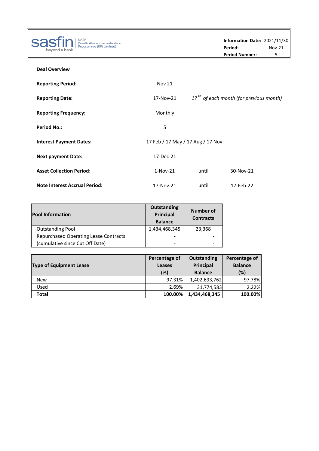| <b>SASP</b>                                                     |                                   |       | Information Date: 2021/11/30              |          |
|-----------------------------------------------------------------|-----------------------------------|-------|-------------------------------------------|----------|
| sa:<br>(South African Securitisation<br>Programme (RF) Limited) |                                   |       | Period:                                   | $Nov-21$ |
| bevond a bank                                                   |                                   |       | <b>Period Number:</b>                     | 5        |
| <b>Deal Overview</b>                                            |                                   |       |                                           |          |
| <b>Reporting Period:</b>                                        | <b>Nov 21</b>                     |       |                                           |          |
| <b>Reporting Date:</b>                                          | 17-Nov-21                         |       | $17th$ of each month (for previous month) |          |
| <b>Reporting Frequency:</b>                                     | Monthly                           |       |                                           |          |
| <b>Period No.:</b>                                              | 5                                 |       |                                           |          |
| <b>Interest Payment Dates:</b>                                  | 17 Feb / 17 May / 17 Aug / 17 Nov |       |                                           |          |
| <b>Next payment Date:</b>                                       | 17-Dec-21                         |       |                                           |          |
| <b>Asset Collection Period:</b>                                 | $1-Nov-21$                        | until | 30-Nov-21                                 |          |
| <b>Note Interest Accrual Period:</b>                            | 17-Nov-21                         | until | 17-Feb-22                                 |          |

| <b>Pool Information</b>               | Outstanding<br>Principal<br><b>Balance</b> | Number of<br><b>Contracts</b> |
|---------------------------------------|--------------------------------------------|-------------------------------|
| <b>Outstanding Pool</b>               | 1,434,468,345                              | 23,368                        |
| Repurchased Operating Lease Contracts |                                            |                               |
| (cumulative since Cut Off Date)       |                                            |                               |

| <b>Type of Equipment Lease</b> | Percentage of<br>Leases<br>(%) | <b>Outstanding</b><br><b>Principal</b><br><b>Balance</b> | Percentage of<br><b>Balance</b><br>(%) |
|--------------------------------|--------------------------------|----------------------------------------------------------|----------------------------------------|
| <b>New</b>                     | 97.31%                         | 1,402,693,762                                            | 97.78%                                 |
| Used                           | 2.69%                          | 31,774,583                                               | 2.22%                                  |
| Total                          | 100.00%                        | 1,434,468,345                                            | 100.00%                                |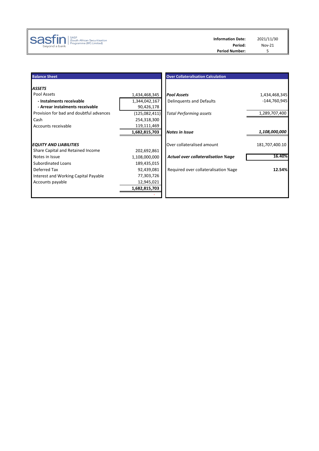

| <b>Balance Sheet</b>                                        |                             | <b>Over Collateralisation Calculation</b> |                |
|-------------------------------------------------------------|-----------------------------|-------------------------------------------|----------------|
| <b>ASSETS</b>                                               |                             |                                           |                |
| Pool Assets                                                 | 1,434,468,345               | <b>Pool Assets</b>                        | 1,434,468,345  |
| - Instalments receivable<br>- Arrear instalments receivable | 1,344,042,167<br>90,426,178 | Delinguents and Defaults                  | -144,760,945   |
| Provision for bad and doubtful advances                     | (125,082,411)               | <b>Total Performing assets</b>            | 1,289,707,400  |
| Cash                                                        | 254,318,300                 |                                           |                |
| Accounts receivable                                         | 119,111,469                 |                                           |                |
|                                                             | 1,682,815,703               | <b>Notes in Issue</b>                     | 1,108,000,000  |
| <b>EQUITY AND LIABILITIES</b>                               |                             | Over collateralised amount                | 181,707,400.10 |
| Share Capital and Retained Income                           | 202,692,861                 |                                           |                |
| Notes in Issue                                              | 1,108,000,000               | <b>Actual over collateralisation %age</b> | 16.40%         |
| <b>Subordinated Loans</b>                                   | 189,435,015                 |                                           |                |
| Deferred Tax                                                | 92,439,081                  | Required over collateralisation %age      | 12.54%         |
| Interest and Working Capital Payable                        | 77,303,726                  |                                           |                |
| Accounts payable                                            | 12,945,021                  |                                           |                |
|                                                             | 1,682,815,703               |                                           |                |
|                                                             |                             |                                           |                |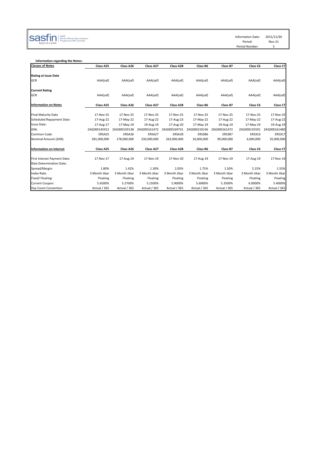Information Date: 2021/11/30<br>Period: Nov-21

Period: Nov-21 Period Number: 5

# $\text{SOS} \hspace{-0.2cm}\text{SOS} \hspace{-0.3cm}\text{SOS} \hspace{-0.3cm}\text{SOS} \hspace{-0.3cm}\text{SOS} \hspace{-0.3cm}\text{SOS} \hspace{-0.3cm}\text{SOS} \hspace{-0.3cm}\text{SOS} \hspace{-0.3cm}\text{SOS} \hspace{-0.3cm}\text{SCS} \hspace{-0.3cm}\text{SCS} \hspace{-0.3cm}\text{SCS} \hspace{-0.3cm}\text{SCS} \hspace{-0.3cm}\text{SCS} \hspace{-0.3cm}\text{SCS} \hspace{-0.3cm}\text{SCS} \hspace{-$

| Information regarding the Notes: |               |               |               |               |               |               |               |               |
|----------------------------------|---------------|---------------|---------------|---------------|---------------|---------------|---------------|---------------|
| <b>Classes of Notes</b>          | Class A25     | Class A26     | Class A27     | Class A28     | Class B6      | Class B7      | Class C6      | Class C7      |
| <b>Rating at Issue Date</b>      |               |               |               |               |               |               |               |               |
| <b>GCR</b>                       | AAA(zaf)      | AAA(zaf)      | AAA(zaf)      | AAA(zaf)      | AAA(zaf)      | AAA(zaf)      | AAA(zaf)      | AAA(zaf)      |
| <b>Current Rating</b>            |               |               |               |               |               |               |               |               |
| <b>GCR</b>                       | AAA(zaf)      | AAA(zaf)      | AAA(zaf)      | AAA(zaf)      | AAA(zaf)      | AAA(zaf)      | AAA(zaf)      | AAA(zaf)      |
| <b>Information on Notes</b>      | Class A25     | Class A26     | Class A27     | Class A28     | Class B6      | Class B7      | Class C6      | Class C7      |
| <b>Final Maturity Date</b>       | 17-Nov-25     | 17-Nov-25     | 17-Nov-25     | 17-Nov-25     | 17-Nov-25     | 17-Nov-25     | 17-Nov-25     | 17-Nov-25     |
| <b>Scheduled Repayment Date:</b> | 17-Aug-22     | 17-May-22     | 17-Aug-22     | 17-Aug-23     | 17-May-22     | 17-Aug-22     | 17-May-22     | 17-Aug-22     |
| Issue Date:                      | 17-Aug-17     | 17-May-19     | 19-Aug-19     | 17-Aug-20     | 17-May-19     | 19-Aug-19     | 17-May-19     | 19-Aug-19     |
| ISIN:                            | ZAG000145913  | ZAG000159138  | ZAG000161472  | ZAG000169731  | ZAG000159146  | ZAG000161472  | ZAG000135591  | ZAG000161480  |
| Common Code:                     | ERSA25        | ERSA26        | ERSA27        | ERSA28        | ERS3B6        | ERS3B7        | ERS3C6        | ERS3C7        |
| Nominal Amount (ZAR):            | 281,000,000   | 178,000,000   | 230,000,000   | 263,000,000   | 16,000,000    | 99,000,000    | 6,000,000     | 35,000,000    |
| <b>Information on Interest</b>   | Class A25     | Class A26     | Class A27     | Class A28     | Class B6      | Class B7      | Class C6      | Class C7      |
| First Interest Payment Date:     | 17-Nov-17     | 17-Aug-19     | 17-Nov-19     | 17-Nov-20     | 17-Aug-19     | 17-Nov-19     | 17-Aug-19     | 17-Nov-19     |
| Rate Determination Date:         |               |               |               |               |               |               |               |               |
| Spread/Margin:                   | 1.80%         | 1.42%         | 1.30%         | 2.05%         | 1.75%         | 1.50%         | 2.15%         | 1.55%         |
| Index Rate:                      | 3 Month Jibar | 3 Month Jibar | 3 Month Jibar | 3 Month Jibar | 3 Month Jibar | 3 Month Jibar | 3 Month Jibar | 3 Month Jibar |
| Fixed/Floating:                  | Floating      | Floating      | Floating      | Floating      | Floating      | Floating      | Floating      | Floating      |
| Current Coupon:                  | 5.6500%       | 5.2700%       | 5.1500%       | 5.9000%       | 5.6000%       | 5.3500%       | 6.0000%       | 5.4000%       |
| Day Count Convention             | Actual / 365  | Actual / 365  | Actual / 365  | Actual / 365  | Actual / 365  | Actual / 365  | Actual / 365  | Actual / 365  |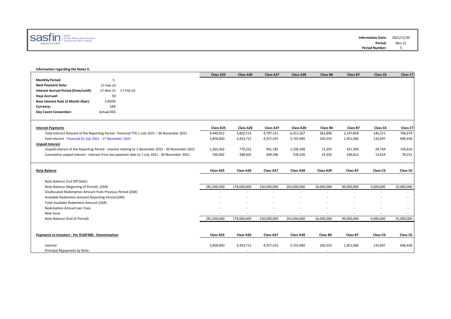

## **Information regarding the Notes II.**

|                                                           |                                                                                                   | Class A25                             | Class A26   | Class A27                | Class A28                             | Class B6                            | Class B7            | Class C6                            | Class C7          |
|-----------------------------------------------------------|---------------------------------------------------------------------------------------------------|---------------------------------------|-------------|--------------------------|---------------------------------------|-------------------------------------|---------------------|-------------------------------------|-------------------|
| <b>Monthly Period:</b>                                    | 5                                                                                                 |                                       |             |                          |                                       |                                     |                     |                                     |                   |
| <b>Next Payment Date:</b>                                 | 17-Feb-22                                                                                         |                                       |             |                          |                                       |                                     |                     |                                     |                   |
| Interest Accrual Period (from/until):                     | 17-Nov-21 17-Feb-22                                                                               |                                       |             |                          |                                       |                                     |                     |                                     |                   |
| Days Accrued:                                             | 92                                                                                                |                                       |             |                          |                                       |                                     |                     |                                     |                   |
| Base Interest Rate (3 Month Jibar):                       | 3.850%                                                                                            |                                       |             |                          |                                       |                                     |                     |                                     |                   |
| Currency:                                                 | ZAR                                                                                               |                                       |             |                          |                                       |                                     |                     |                                     |                   |
| Day Count Convention:                                     | Actual/365                                                                                        |                                       |             |                          |                                       |                                     |                     |                                     |                   |
|                                                           |                                                                                                   |                                       |             |                          |                                       |                                     |                     |                                     |                   |
| <b>Interest Payments</b>                                  |                                                                                                   | Class A25                             | Class A26   | Class A27                | Class A28                             | Class B6                            | Class B7            | Class C6                            | Class C7          |
|                                                           | Total Interest Amount of the Reporting Period - Financial YTD 1 July 2021 - 30 November 2021      | 6,449,812                             | 3,802,114   | 4,797,151                | 6,312,267                             | 363,896                             | 2,147,858           | 146,521                             | 766,679           |
| Paid interest - Financial 01 July 2021 - 17 November 2021 |                                                                                                   | 5,858,850                             | 3,453,712   | 4,357,555                | 5,733,940                             | 330,553                             | 1,951,046           | 133,097                             | 696,428           |
| <b>Unpaid Interest</b>                                    |                                                                                                   |                                       |             |                          |                                       |                                     |                     |                                     |                   |
|                                                           | Unpaid interest of the Reporting Period - Interest relating to 1 November 2021 - 30 November 2021 | 1,265,362                             | 770,252     | 941,185                  | 1,238,348                             | 71,392                              | 421,393             | 28,744                              | 150,416           |
|                                                           | Cumulative unpaid interest - Interest from last payment date to 1 July 2021 - 30 November 2021    | 590,962                               | 348,402     | 439,596                  | 578,326                               | 33,342                              | 196,812             | 13,424                              | 70,251            |
|                                                           |                                                                                                   |                                       |             |                          |                                       |                                     |                     |                                     |                   |
|                                                           |                                                                                                   |                                       |             |                          |                                       |                                     |                     |                                     |                   |
|                                                           |                                                                                                   |                                       |             |                          |                                       |                                     |                     |                                     |                   |
| <b>Note Balance</b>                                       |                                                                                                   | Class A25                             | Class A26   | Class A27                | Class A28                             | Class A29                           | Class B7            | Class C6                            | Class C6          |
|                                                           |                                                                                                   |                                       |             |                          |                                       |                                     |                     |                                     |                   |
| Note Balance (Cut Off Date):                              |                                                                                                   |                                       |             |                          |                                       |                                     |                     |                                     |                   |
| Note Balance (Beginning of Period): (ZAR)                 |                                                                                                   | 281,000,000                           | 178,000,000 | 230,000,000              | 263,000,000                           | 16,000,000                          | 99,000,000          | 6,000,000                           | 35,000,000        |
| Unallocated Redemption Amount from Previous Period (ZAR)  |                                                                                                   |                                       |             | $\overline{\phantom{a}}$ | $\overline{\phantom{a}}$              |                                     | ۰                   | ۰                                   |                   |
| Available Redemtion Amount Reporting Period (ZAR)         |                                                                                                   |                                       |             |                          |                                       |                                     |                     |                                     |                   |
| Total Available Redemtion Amount (ZAR)                    |                                                                                                   |                                       |             |                          |                                       |                                     |                     |                                     |                   |
| Redemption Amount per Class                               |                                                                                                   |                                       |             |                          |                                       |                                     |                     |                                     |                   |
| New Issue                                                 |                                                                                                   |                                       |             | $\overline{a}$           | $\overline{a}$                        |                                     | ٠                   | $\overline{\phantom{a}}$            |                   |
| Note Balance (End of Period):                             |                                                                                                   | 281,000,000                           | 178,000,000 | 230,000,000              | 263,000,000                           | 16,000,000                          | 99,000,000          | 6,000,000                           | 35,000,000        |
|                                                           |                                                                                                   |                                       |             |                          |                                       |                                     |                     |                                     |                   |
|                                                           |                                                                                                   |                                       |             |                          |                                       |                                     |                     |                                     |                   |
| Payments to Investors - Per R100'000 - Denomination       |                                                                                                   | Class A25                             | Class A26   | Class A27                | Class A28                             | Class B6                            | Class B7            | Class C6                            | Class C6          |
|                                                           |                                                                                                   |                                       |             |                          |                                       |                                     |                     |                                     |                   |
| Interest<br>Principal Repayment by Note:                  |                                                                                                   | 5,858,850<br>$\overline{\phantom{a}}$ | 3,453,712   | 4,357,555<br>$\sim$      | 5,733,940<br>$\overline{\phantom{a}}$ | 330,553<br>$\overline{\phantom{a}}$ | 1,951,046<br>$\sim$ | 133,097<br>$\overline{\phantom{a}}$ | 696,428<br>$\sim$ |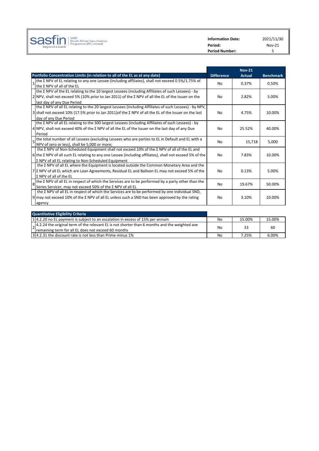

**Information Date:** 2021/11/30 **Period:** Nov-21<br>**Period Number:** 5 **Period Number:** 

|   |                                                                                                                                                                                                                 |                   | <b>Nov-21</b> |                  |
|---|-----------------------------------------------------------------------------------------------------------------------------------------------------------------------------------------------------------------|-------------------|---------------|------------------|
|   | Portfolio Concentration Limits (in relation to all of the EL as at any date)                                                                                                                                    | <b>Difference</b> | <b>Actual</b> | <b>Benchmark</b> |
|   | the Σ NPV of EL relating to any one Lessee (including affiliates), shall not exceed 0.5%/1.75% of<br>the $\Sigma$ NPV of all of the EL                                                                          | No.               | 0.37%         | 0.50%            |
|   | the $\Sigma$ NPV of the EL relating to the 10 largest Lessees (including Affiliates of such Lessees) - by<br>2 NPV, shall not exceed 5% (10% prior to Jan 2011) of the Σ NPV of all the EL of the Issuer on the | No                | 2.82%         | 5.00%            |
|   | last day of any Due Period<br>the Σ NPV of all EL relating to the 20 largest Lessees (including Affiliates of such Lessees) - by NPV,                                                                           |                   |               |                  |
|   | 3 shall not exceed 10% (17.5% prior to Jan 2011) of the $\Sigma$ NPV of all the EL of the Issuer on the last<br>day of any Due Period                                                                           | No                | 4.75%         | 10.00%           |
|   | the Σ NPV of all EL relating to the 300 largest Lessees (including Affiliates of such Lessees) - by                                                                                                             |                   |               |                  |
|   | 4 NPV, shall not exceed 40% of the $\Sigma$ NPV of all the EL of the Issuer on the last day of any Due                                                                                                          | No                | 25.52%        | 40.00%           |
|   | Period                                                                                                                                                                                                          |                   |               |                  |
|   | the total number of all Lessees (excluding Lessees who are parties to EL in Default and EL with a<br>NPV of zero or less), shall be 5,000 or more;                                                              | No                | 15,718        | 5.000            |
|   | the $\Sigma$ NPV of Non-Scheduled Equipment shall not exceed 10% of the $\Sigma$ NPV of all of the EL and                                                                                                       |                   |               |                  |
|   | $6$ the $\Sigma$ NPV of all such EL relating to any one Lessee (including affiliates), shall not exceed 5% of the                                                                                               | <b>No</b>         | 7.83%         | 10.00%           |
|   | Σ NPV of all EL relating to Non-Scheduled Equipment                                                                                                                                                             |                   |               |                  |
|   | the $\Sigma$ NPV of all EL where the Equipment is located outside the Common Monetary Area and the<br>$7 \Sigma$ NPV of all EL which are Loan Agreements, Residual EL and Balloon EL may not exceed 5% of the   | No                | 0.13%         | 5.00%            |
|   | $\Sigma$ NPV of all of the EL                                                                                                                                                                                   |                   |               |                  |
| 8 | the $\Sigma$ NPV of all EL in respect of which the Services are to be performed by a party other than the<br>Series Servicer, may not exceed 50% of the Σ NPV of all EL                                         | No                | 19.67%        | 50.00%           |
|   | the Σ NPV of all EL in respect of which the Services are to be performed by one individual SND,                                                                                                                 |                   |               |                  |
|   | 9 may not exceed 10% of the Σ NPV of all EL unless such a SND has been approved by the rating                                                                                                                   | <b>No</b>         | 3.10%         | 10.00%           |
|   | agency                                                                                                                                                                                                          |                   |               |                  |
|   |                                                                                                                                                                                                                 |                   |               |                  |

| <b>Quantitative Eligibility Criteria</b>                                                                                                                        |                |        |        |
|-----------------------------------------------------------------------------------------------------------------------------------------------------------------|----------------|--------|--------|
| 14.2.20 no EL payment is subject to an escalation in excess of 15% per annum                                                                                    | N <sub>0</sub> | 15.00% | 15.00% |
| $\alpha$ , 4.2.24 the original term of the relevant EL is not shorter than 6 months and the weighted ave<br>remaining term for all EL does not exceed 60 months | No             | 33     | 60     |
| 3.4.2.31 the discount rate is not less than Prime minus 1%                                                                                                      | No             | 7.25%  | 6.00%  |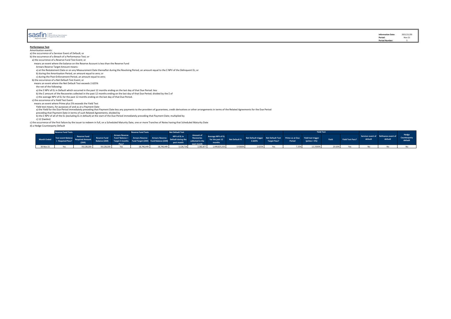| beyond a bank | <b>Sastin</b> Security African Securitisation |
|---------------|-----------------------------------------------|
|---------------|-----------------------------------------------|

### **Performance Test Amortisation events:**

a) the occurrence of a Servicer Event of Default; or

b) the occurrence of a Breach of a Performance Test; or

a) the occurrence of a Reserve Fund Test Event; or

means an event where the balance on the Reserve Account is less than the Reserve Fund

Arrears Reserve Target Amount means:

- a) at the Restatement Date or on any Measurement Date thereafter during the Revolving Period, an amount equal to the Σ NPV of the Delinquent EL; or
- b) during the Amortisation Period, an amount equal to zero; or
- c) during the Post-Enforcement Period, an amount equal to zero;

b) the occurrence of a Net Default Test Event; or

means an event where the Net Default Test exceeds 2.625%

the net of the following:

a) the Σ NPV of EL in Default which occurred in the past 12 months ending on the last day of that Due Period: less

b) the Σ amount of the Recoveries collected in the past 12 months ending on the last day of that Due Period; divided by the Σ of

c) the average NPV of EL for the past 12 months ending on the last day of that Due Period.

c) the occurrence of a Yield Test Event

means an event where Prime plus 5% exceeds the Yield Test

Yield test means, for purposes of and as at a Payment Date<br>a) the Yield for the Due Period immediately preceding that Payment Date less any payments to the providers of guarantees, credit derivatives or other arrangements

preceding that Payment Date in terms of such Related Agreements; divided by<br>b) the Σ NPV of all of the EL (excluding EL in default) at the start of the Due Period immediately preceding that Payment Date; multiplied by

 $c)$  12 (twelve)

c) the occurrence of the first failure by the issuer to redeem in full, on a Scheduled Maturity Date, one or more Tranches of Notes having that Scheduled Maturity Date

d) a Hedge Counterparty Default

|             | <b>Reserve Fund Tests</b>              |                     |            |                                 | Reserve Fund Tests                                                                                                                                                                                                             |            | <b>Net Default Test</b> |                         |                                                              |         |                                                                                   |                     |        | <b>Yield Test</b> |        |                  |         |                                                 |                         |
|-------------|----------------------------------------|---------------------|------------|---------------------------------|--------------------------------------------------------------------------------------------------------------------------------------------------------------------------------------------------------------------------------|------------|-------------------------|-------------------------|--------------------------------------------------------------|---------|-----------------------------------------------------------------------------------|---------------------|--------|-------------------|--------|------------------|---------|-------------------------------------------------|-------------------------|
| Month Ended | Test event Balance<br>< Required Pass? | <b>Reserve Fund</b> |            | <b>Arrears Reserve</b><br>Pass? | enve Fund Reserve Fund Fund Balance < Arrears Reserve Arrears Reserve MPV of EL in Recovering Reserve and Fund Balance Arrears Reserve Arrears Reserve Reserve Reserve Reserve Reserve Reserve Reserve Reserve Reserve Reserve |            | past month              | Amount of<br>nast month | Average NPV of EL<br>for the past 12 Net Default %<br>months |         | Net Default trigger Net Default Test Prime as at Due Yield test trigger<br>2.625% | <b>Target Pass?</b> | Period | $(prime + 5%)$    | Yield  | lield Test Pass? | default | Servicer event of Refinance event of<br>default | Counterparty<br>default |
| 30-Nov-21   |                                        | 59,128,200          | 59,128,200 | <b>Yes</b>                      | 18,746,449                                                                                                                                                                                                                     | 18,746,449 |                         |                         | 3,128,716 2,382,877 1,449,825,555                            | 0.9266% | 2.625%                                                                            |                     |        | 12.2500%          | 23.63% |                  |         |                                                 |                         |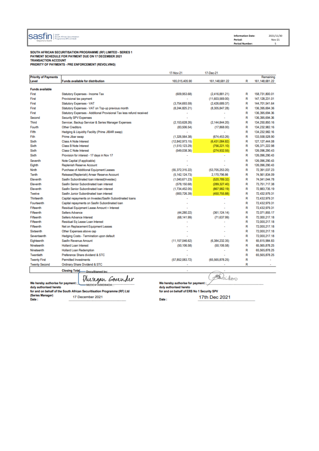| SASP<br>costin<br>(South African Securitisation<br>777 | <b>Information Date:</b> | 2021/11/30 |
|--------------------------------------------------------|--------------------------|------------|
| Programme (RF) Limited)<br>beyond a bank               | Period:                  | Nov-21     |
|                                                        | <b>Period Number:</b>    |            |

SOUTH AFRICAN SECURITISATION PROGRAMME (RELLIMITED , SERIES 1) PAYMENT SCHEDULE FOR PAYMENT DUE ON 17 DECEMBER 2021 **TRANSACTION ACCOUNT** PRIORITY OF PAYMENTS - PRE ENFORCEMENT (REVOLVING)

17-Nov-21 17-Dec-21 **Priority of Payments** Remaining Funds available for distribution 165,015,405.90 161,148,681.22 R 161, 148, 681.22 Level **Funds available** First Statutory Expenses - Income Tax (88.629.908) (2.416.881.21) R 158 731 800 01  $(11.603.569.00)$ 147 128 231 01 Eiret Provisional tax payment Þ First Statutory Expenses - VAT (3.754.693.59)  $(2,426,689.37)$ **D** 144 701 541 64 Statutory Expenses - VAT on Top-up previous month First  $(8, 244, 825.21)$  $(8,305,847.28)$  $\overline{R}$ 136 395 694 36 Statutory Expenses - Additional Provisional Tax less refund received 136,395,694.36 First R  $\sim$ Security SPV Expenses R 136,395,694.36 Second Servicer, Backun Servicer & Series Manager Expenses  $(2.153.628.26)$  $(2.144.844.20)$ 134 250 850 16 Third R  $(17.868.00)$ Other Creditors  $(83.506.54)$ 134 232 982 16 Fourth R Fifth Hedging & Liquidity Facility (Prime JIBAR swap)  $\overline{P}$ 134 232 982 16 Fith Prime Jibar swap  $(1,326,564.38)$ (674 453 26)  $\overline{R}$ 133,558,528.90 Sixth Class A Note Interest  $(12,842,973.15)$  $(6,431,084.82)$  $\overline{\mathsf{R}}$ 127, 127, 444.08 Sixth Class B Note Interest  $(1,510,123.29)$  $(756, 221.10)$ R 126,371,222.98  $(274, 932.55)$ Sixth Class C Note Interest  $(549, 038.36)$ R 126,096,290.43 Provision for interest - 17 days in Nov 17 126,096,290.43 Sixth  $\overline{\mathsf{R}}$ Seventh Note Capital (if applicable) R 126,096,290.43 Eighth Replenish Reserve Account R 126,096,290.43 Purchase of Additional Equipment Leases Ninth  $(55, 372, 315.22)$  $(53,705,253.20)$ 72,391,037.23 R Tenth Release/(Replenish) Arrear Reserve Account  $(5, 142, 124.73)$ 2,170,796.86 R 74 561 834 09 Sasfin Subordinated loan interest(Investec)  $(1,040,671.23)$  $(520, 789.32)$ 74,041,044.78 Eleventh R Sasfin Senior Subordinated Ioan interest  $(578, 150.68)$  $(289, 327, 40)$  $\overline{R}$ 73 751 717 38 Eleventh (867.982.19) 72883 735 19 Fleventh Sasfin Senior Subordinated Ioan interest (1.734.452.05) R Twelve Sasfin Junior Subordinated Ioan interest (900.726.39) (450.755.88) Þ 72 432 979 31 Thirteenth Capital repayments on Invested/Sasfin Subordinated Ioans R 72 432 979 31 Fourteenth Capital repayments on Sasfin Subordinated loan 72,432,979.31 R Fifteenth Residual Equipment Lease Amount + Interest  $\overline{R}$ 72,432,979.31 Fifteenth Sellers Advance  $(44, 280.22)$  $(361.124.14)$ 72,071,855.17 R  $(71, 637.99)$ (68.141.99) 72.000.217.18 Fifteenth Sellers Advance Interest R Fifteenth Residual En Lease Loan Interest 72000 217 18 R Fifteenth Net on Replacement Equipment Leases R 72 000 217 18  $\overline{a}$ Sixteenth Other Expenses above cap R 72 000 217 18 J. J. Seventeenth Hedging Costs - Termination upon default R 72 000 217 18 Eighteenth Sasfin Revenue Amount  $(11, 157, 046.62)$  $(6.384.232.35)$ R 65,615,984.83 Nineteenth **Hollard Loan Interest**  $(50, 106.58)$  $(50, 106.58)$ 65,565,878.25 R Nineteenth 65,565,878.25 Hollard Loan Redemption R Preference Share dividend & STC 65 565 878 25 Twentieth R **Twenty First Permitted Investments** (57.852.083.72) (65.565.878.25) R **Twenty Second** Ordinary Share Dividend & STC R Closing Total\_\_\_\_\_ DocuSigned by:

17 December 2021

for and on behalf of the South African Securitisation Programme (RF) Ltd

We hereby authorise for payment :

duly authorised hereto

(Series Manager)

Date:

Dusegan Govender

-<br>-9823C41A56D64DA

Daidoo We hereby authorise for payment :

duly authorised hereto for and on behalf of ERS No 1 Security SPV

17th Dec 2021 Date: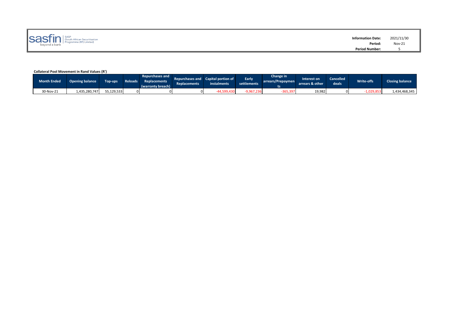| SASP<br>(South African Securitisation<br>Programme (RF) Limited)<br>beyond a bank |  |  |
|-----------------------------------------------------------------------------------|--|--|
|-----------------------------------------------------------------------------------|--|--|

## **Collateral Pool Movement in Rand Values (R')**

| <b>Month Ended</b> | <b>Opening balance</b> | Top-ups    | <b>Reloads</b> | <b>Repurchases and</b><br>Replacements<br>(warranty breach) | <b>Replacements</b> | Repurchases and Capital portion of<br><b>instalments</b> | Early<br>settlements | Change in<br>arrears/Prepaymen | nterest on<br>arrears & other | <b>Cancelled</b><br>deals | <b>Write-offs</b>      | <b>Closing balance</b> |
|--------------------|------------------------|------------|----------------|-------------------------------------------------------------|---------------------|----------------------------------------------------------|----------------------|--------------------------------|-------------------------------|---------------------------|------------------------|------------------------|
| 30-Nov-21          | 1,435,280,747          | 55,129,533 |                |                                                             |                     |                                                          |                      | 365,397                        | 19,982                        |                           | $1,029.8$ <sup>r</sup> | 1,434,468,345          |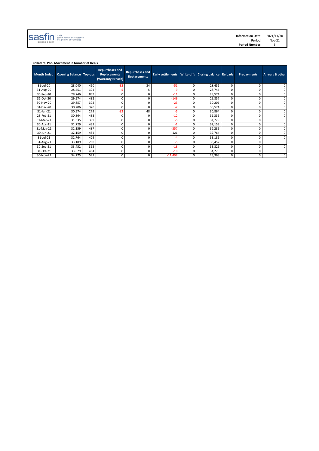| $\text{S35} \prod_{\text{beyond a bank}} \left  \bigcap_{\text{Frogramme (RF) Limited}} \right.$ | <b>Information Date:</b><br>Period: | 2021/11/30<br>Nov-21 |
|--------------------------------------------------------------------------------------------------|-------------------------------------|----------------------|
|                                                                                                  | <b>Period Number:</b>               |                      |
|                                                                                                  |                                     |                      |

## **Collateral Pool Movement in Number of Deals**

| <b>Month Ended</b> | <b>Opening Balance</b> | Top-ups | <b>Repurchases and</b><br><b>Replacements</b><br>(Warranty Breach) | <b>Repurchases and</b><br><b>Replacements</b> | Early settlements   Write-offs   Closing balance   Reloads |   |        |          | <b>Prepayments</b> | Arrears & other |
|--------------------|------------------------|---------|--------------------------------------------------------------------|-----------------------------------------------|------------------------------------------------------------|---|--------|----------|--------------------|-----------------|
| 31-Jul-20          | 28,040                 | 460     | $-32$                                                              | 34                                            | $-51$                                                      | 0 | 28,451 | $\Omega$ |                    | 0               |
| 31-Aug-20          | 28,451                 | 304     | -5                                                                 | 5                                             | -9                                                         | 0 | 28,746 | $\Omega$ |                    | 0               |
| 30-Sep-20          | 28,746                 | 839     | 0                                                                  | 0                                             | $-11$                                                      | n | 29,574 | $\Omega$ | U                  | 0               |
| 31-Oct-20          | 29,574                 | 432     | $\Omega$                                                           | 0                                             | $-149$                                                     | 0 | 29,857 | $\Omega$ |                    | 0               |
| 30-Nov-20          | 29,857                 | 372     | 0                                                                  | 0                                             | $-23$                                                      | 0 | 30,206 | $\Omega$ | 0                  | 0               |
| 31-Dec-20          | 30,206                 | 370     | 0                                                                  | 0                                             | -2                                                         | 0 | 30,574 | 0        |                    | 0               |
| 31-Jan-21          | 30,574                 | 279     | $-32$                                                              | 48                                            | -5                                                         | n | 30,864 | $\Omega$ |                    | 0               |
| 28-Feb-21          | 30,864                 | 483     | 0                                                                  | 0                                             | $-12$                                                      | 0 | 31,335 | 0        |                    | 0               |
| 31-Mar-21          | 31,335                 | 399     | 0                                                                  | 0                                             | -5                                                         | 0 | 31,729 | $\Omega$ |                    | 0               |
| 30-Apr-21          | 31,729                 | 431     | 0                                                                  | 0                                             |                                                            | ŋ | 32,159 | $\Omega$ |                    | 0               |
| 31-May-21          | 32,159                 | 487     | 0                                                                  | 0                                             | $-357$                                                     | 0 | 32,289 | $\Omega$ |                    | 0               |
| 30-Jun-21          | 32,159                 | 484     | 0                                                                  | 0                                             | 121                                                        | 0 | 32,764 | $\Omega$ |                    | 0               |
| 31-Jul-21          | 32,764                 | 429     | 0                                                                  | 0                                             | -4                                                         | 0 | 33,189 | $\Omega$ | ŋ                  | 0               |
| 31-Aug-21          | 33,189                 | 268     | $\Omega$                                                           | 0                                             | -5                                                         | 0 | 33,452 | $\Omega$ | ŋ                  | 0               |
| 30-Sep-21          | 33,452                 | 395     | $\Omega$                                                           | 0                                             | $-18$                                                      | 0 | 33,829 | $\Omega$ | ŋ                  | 0               |
| 31-Oct-21          | 33,829                 | 464     | 0                                                                  | 0                                             | $-18$                                                      | 0 | 34,275 | 0        |                    | 0               |
| 30-Nov-21          | 34,275                 | 591     | 0                                                                  | 0                                             | $-11,498$                                                  | 0 | 23,368 | 0        | 0                  | 0               |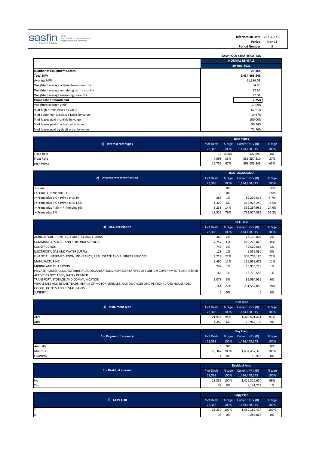# $\text{SGS}\hspace{-0.3em}\text{F}\hspace{-0.3em}\text{m}\hspace{-0.3em}\text{m}\hspace{-0.3em}\text{m}\hspace{-0.3em}\text{m}\hspace{-0.3em}\text{m}\hspace{-0.3em}\text{m}\hspace{-0.3em}\text{m}\hspace{-0.3em}\text{m}\hspace{-0.3em}\text{m}\hspace{-0.3em}\text{m}\hspace{-0.3em}\text{m}\hspace{-0.3em}\text{m}\hspace{-0.3em}\text{m}\hspace{-0.3em}\text{m}\hspace{-0.3em}\text{m}\hspace{-0.3em}\text{m}\hspace{-0.3em}\text{$

**Information Date:** 2021/11/30 **Period:** Nov-21 Period Number: 5

|                                          | <b>SASP POOL STRATIFICATION</b> |
|------------------------------------------|---------------------------------|
|                                          | <b>NORMAL RENTALS</b>           |
|                                          | 30-Nov-2021                     |
| <b>Number of Equipment Leases</b>        | 23,368                          |
| <b>Total NPV</b>                         | 1,434,468,345                   |
| Average NPV                              | 61,386.01                       |
| Weighted average original term - months  | 54.90                           |
| Weighted average remaining term - months | 32.86                           |
| Weighted average seasoning - months      | 22.04                           |
| Prime rate at month end                  | 7.25%                           |
| Weighted average yield                   | 13.09%                          |
| % of high prime leases by value          | 62.61%                          |
| % of Super Non Disclosed Deals by value  | 19.67%                          |
| % of leases paid monthly by value        | 100.00%                         |
| % of leases paid in advance by value     | 90.94%                          |
| % of leases paid by debit order by value | 71.76%                          |

| 1) - Interest rate types | Rate types |          |                 |        |  |  |
|--------------------------|------------|----------|-----------------|--------|--|--|
|                          | # of Deals | % tage   | Current NPV (R) | % tage |  |  |
|                          | 23.368     | 100%     | 1,434,468,345   | 100%   |  |  |
| <b>Fixed Rate</b>        |            | 14 0.06% | 122,693         | 0%     |  |  |
| <b>Float Rate</b>        | 7,598      | 33%      | 536,257,310     | 37%    |  |  |
| <b>High Prime</b>        | 15,756     | 67%      | 898.088.343     | 63%    |  |  |

| 2) - Interest rate stratification | # of Deals | % tage | Current NPV (R) | % tage |
|-----------------------------------|------------|--------|-----------------|--------|
|                                   | 23.368     | 100%   | 1,434,468,345   | 100%   |
| < Prime                           |            | 0%     | 0               | 0.0%   |
| >=Prime < Prime plus 1%           | 0          | 0%     | 0               | 0.0%   |
| >=Prime plus 1% < Prime plus 3%   | 285        | 1%     | 82,299,518      | 5.7%   |
| >=Prime plus 3% < Prime plus 4.5% | 1.320      | 6%     | 265,926,259     | 18.5%  |
| >=Prime plus 4.5% < Prime plus 6% | 3.238      | 14%    | 352,267,986     | 24.6%  |
| >=Prime plus 6%                   | 18.525     | 79%    | 733.974.582     | 51.2%  |

|                                                                                                                                        | <b>SICC Desc</b> |        |                 |        |  |  |
|----------------------------------------------------------------------------------------------------------------------------------------|------------------|--------|-----------------|--------|--|--|
| 3) - SICC decsription                                                                                                                  | # of Deals       | % tage | Current NPV (R) | % tage |  |  |
|                                                                                                                                        | 23,368           | 100%   | 1,434,468,345   | 100%   |  |  |
| AGRICULTURE, HUNTING, FORESTRY AND FISHING                                                                                             | 363              | 2%     | 26,174,002      | 2%     |  |  |
| COMMUNITY, SOCIAL AND PERSONAL SERVICES                                                                                                | 7,757            | 33%    | 482,223,022     | 34%    |  |  |
| <b>CONSTRUCTION</b>                                                                                                                    | 745              | 3%     | 42,520,666      | 3%     |  |  |
| ELECTRICITY, GAS AND WATER SUPPLY                                                                                                      | 128              | 1%     | 6,556,030       | 0%     |  |  |
| FINANCIAL INTERMEDIATION, INSURANCE, REAL ESTATE AND BUSINESS SERVICES                                                                 | 5,228            | 22%    | 309,705,180     | 22%    |  |  |
| <b>MANUFACTURING</b>                                                                                                                   | 2.490            | 11%    | 156,938,679     | 11%    |  |  |
| MINING AND QUARRYING                                                                                                                   | 247              | 1%     | 16,933,219      | 1%     |  |  |
| PRIVATE HOUSEHOLDS, EXTERRITORIAL ORGANISATIONS, REPRESENTATIVES OF FOREIGN GOVERNMENTS AND OTHER<br>ACTIVITIES NOT ADEQUATELY DEFINED | 168              | 1%     | 16,770,555      | 1%     |  |  |
| TRANSPORT, STORAGE AND COMMUNICATION                                                                                                   | 1,078            | .5%    | 85,094,936      | 6%     |  |  |
| WHOLESALE AND RETAIL TRADE; REPAIR OF MOTOR VEHICLES, MOTOR CYCLES AND PERSONAL AND HOUSEHOLD<br>GOODS; HOTELS AND RESTAURANTS         | 5.164            | 22%    | 291,552,056     | 20%    |  |  |
| <b>SUNDRY</b>                                                                                                                          | $\Omega$         | 0%     | 0               | 0%     |  |  |

| 4) - Instalment type | # of Deals |      | % tage Current NPV (R) | % tage |
|----------------------|------------|------|------------------------|--------|
|                      | 23.368     | 100% | 1,434,468,345          | 100%   |
| ADV                  | 21,916     | 94%  | 1,304,501,211          | 91%    |
| ARR                  | 1,452      | 6%   | 129,967,134            | 9%     |

| 5) - Payment frequency | <b>Pay Freq</b> |        |                 |        |  |
|------------------------|-----------------|--------|-----------------|--------|--|
|                        | # of Deals      | % tage | Current NPV (R) | % tage |  |
|                        | 23.368          | 100%   | 1,434,468,345   | 100%   |  |
| Annually               | $\Omega$        | 0%     |                 | 0%     |  |
| Monthly                | 23,367          | 100%   | 1,434,457,370   | 100%   |  |
| Quarterly              |                 | 0%     | 10,975          | 0%     |  |

| 6) - Residual amount | <b>Residual Amt</b> |      |                        |        |  |
|----------------------|---------------------|------|------------------------|--------|--|
|                      | # of Deals          |      | % tage Current NPV (R) | % tage |  |
|                      |                     | 100% | 1,434,468,345          | 100%   |  |
| <b>No</b>            | 23,336 100%         |      | 1,426,326,624          | 99%    |  |
| Yes                  | 32                  | 0%   | 8.141.722              | 1%     |  |

| 7) - Copy plan |             |      |                        |        |
|----------------|-------------|------|------------------------|--------|
|                | # of Deals  |      | % tage Current NPV (R) | % tage |
|                |             | 100% | 1,434,468,345          | 100%   |
| v              | 23,330 100% |      | 1,430,182,477          | 100%   |
| IN.            | 38          | 0%   | 4.285.868              | 0%     |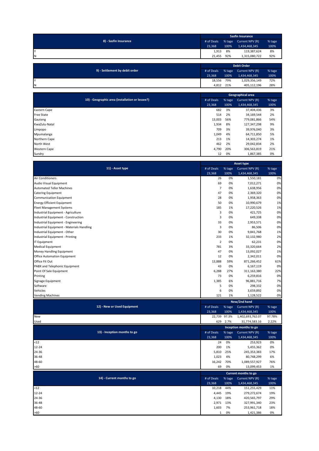| 8) - Sasfin Insurance | <b>Sasfin Insurance</b> |        |                 |        |  |  |
|-----------------------|-------------------------|--------|-----------------|--------|--|--|
|                       | # of Deals              | % tage | Current NPV (R) | % tage |  |  |
|                       | 23.368                  | 100%   | 1,434,468,345   | 100%   |  |  |
| I٢                    | 1,913                   | 8%     | 119,387,624     | 8%     |  |  |
| IΝ                    | 21.455                  | 92%    | 1,315,080,722   | 92%    |  |  |
|                       |                         |        |                 |        |  |  |

| 9) - Settlement by debit order | <b>Debit Order</b> |        |                 |        |  |
|--------------------------------|--------------------|--------|-----------------|--------|--|
|                                | # of Deals         | % tage | Current NPV (R) | % tage |  |
|                                | 23.368             | 100%   | 1,434,468,345   | 100%   |  |
|                                | 18,556             | 79%    | 1,029,356,149   | 72%    |  |
| N                              | 4.812              | 21%    | 405,112,196     | 28%    |  |

|                                                 | Geographical area |        |                 |        |  |
|-------------------------------------------------|-------------------|--------|-----------------|--------|--|
| 10) - Geographic area (installation or lessee?) | # of Deals        | % tage | Current NPV (R) | % tage |  |
|                                                 |                   | 100%   | 1,434,468,345   | 100%   |  |
| Eastern Cape                                    | 682               | 3%     | 37,404,436      | 3%     |  |
| <b>Free State</b>                               | 514               | 2%     | 34,169,544      | 2%     |  |
| Gauteng                                         | 13,003            | 56%    | 779,081,866     | 54%    |  |
| KwaZulu-Natal                                   | 1,934             | 8%     | 127,347,298     | 9%     |  |
| Limpopo                                         | 709               | 3%     | 39,976,040      | 3%     |  |
| Mpumalanga                                      | 1,049             | 4%     | 64,711,850      | 5%     |  |
| Northern Cape                                   | 213               | 1%     | 14,303,274      | 1%     |  |
| North West                                      | 462               | 2%     | 29,042,834      | 2%     |  |
| <b>Western Cape</b>                             | 4,790             | 20%    | 306,563,819     | 21%    |  |
| Sundry                                          | 12                | 0%     | 1,867,385       | 0%     |  |

|                                           | <b>Asset type</b> |        |                        |        |
|-------------------------------------------|-------------------|--------|------------------------|--------|
| 11) - Asset type                          |                   | % tage | Current NPV (R)        | % tage |
|                                           | 23,368            | 100%   | 1,434,468,345          | 100%   |
| Air Conditioners                          | 26                | 0%     | 1,550,181              | 0%     |
| Audio Visual Equipment                    | 69                | 0%     | 7,012,271              | 0%     |
| <b>Automated Teller Machines</b>          | $\overline{7}$    | 0%     | 1,638,956              | 0%     |
| <b>Catering Equipment</b>                 | 47                | 0%     | 2,369,320              | 0%     |
| Communication Equipment                   | 28                | 0%     | 1,958,363              | 0%     |
| <b>Energy Efficient Equipment</b>         | 50                | 0%     | 10,990,679             | 1%     |
| <b>Fleet Management Systems</b>           | 185               | 1%     | 17,220,526             | 1%     |
| Industrial Equipment - Agriculture        | 3                 | 0%     | 421,725                | 0%     |
| Industrial Equipment - Construction       | 3                 | 0%     | 649,338                | 0%     |
| Industrial Equipment - Engineering        | 33                | 0%     | 2,953,571              | 0%     |
| Industrial Equipment - Materials Handling | 3                 | 0%     | 86,506                 | 0%     |
| Industrial Equipment - Other              | 30                | 0%     | 9,841,768              | 1%     |
| Industrial Equipment - Printing           | 233               | 1%     | 32,132,980             | 2%     |
| IT Equipment                              | $\overline{2}$    | 0%     | 62,231                 | 0%     |
| <b>Medical Equipment</b>                  | 781               | 3%     | 33,320,664             | 2%     |
| Money Handling Equipment                  | 47                | 0%     | 13,092,027             | 1%     |
| Office Automation Equipment               | 12                | 0%     | 2,342,011              | 0%     |
| Office Fit Out                            | 13,888            | 59%    | 871,266,452            | 61%    |
| PABX and Telephonic Equipment             | 43                | 0%     | 6,167,119              | 0%     |
| Point Of Sale Equipment                   | 6,288             | 27%    | 311,163,380            | 22%    |
| Printing                                  | 73                | 0%     | 6,259,816              | 0%     |
| Signage Equipment                         | 1,385             | 6%     | 96,881,716             | 7%     |
| Software                                  | 5                 | 0%     | 298,332                | 0%     |
| Vehicles                                  | 6                 | 0%     | 3,659,892              | 0%     |
| <b>Vending Machines</b>                   | 121               | 1%     | 1,128,522              | 0%     |
|                                           |                   |        | New/2nd hand           |        |
| 12) - New or Used Equipment               | # of Deals        | % tage | Current NPV (R)        | % tage |
|                                           | 23,368            | 100%   | 1,434,468,345          | 100%   |
| New                                       | 22,739            | 97.3%  | 1,402,693,762.07       | 97.78% |
| Used                                      | 629               | 2.7%   | 31,774,583.16          | 2.22%  |
|                                           |                   |        |                        |        |
|                                           |                   |        | Inception months to go |        |
| 13) - Inception months to go              | # of Deals        | % tage | Current NPV (R)        | % tage |
|                                           | 23,368            | 100%   | 1,434,468,345          | 100%   |
| $12$                                      | 24                | 0%     | 253,923                | 0%     |
| $12 - 24$                                 | 200               | 1%     | 5,455,362              | 0%     |
| 24-36                                     | 5,810             | 25%    | 245,353,383            | 17%    |
| 36-48                                     | 1,023             | 4%     | 80,748,299             | 6%     |
| 48-60                                     | 16,242            | 70%    | 1,089,557,927          | 76%    |
| >60                                       | 69                | 0%     | 13,099,453             | 1%     |
|                                           |                   |        | Current months to go   |        |
| 14) - Current months to go                | # of Deals        | % tage | Current NPV (R)        | % tage |
|                                           | 23,368            | 100%   | 1,434,468,345          | 100%   |
| $12$                                      | 10,218            | 44%    | 151,255,429            | 11%    |
| $12 - 24$                                 | 4,445             | 19%    | 279,272,674            | 19%    |
| 24-36                                     | 4,130             | 18%    | 420,565,797            | 29%    |
| 36-48                                     | 2,971             | 13%    | 327,991,340            | 23%    |
| 48-60                                     | 1,603             | 7%     | 253,961,718            | 18%    |
| >60                                       | $\mathbf{1}$      | 0%     | 1,421,386              | 0%     |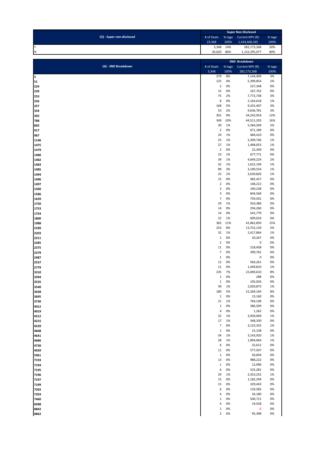| 15) - Super non-disclosed | <b>Super Non Disclosed</b> |      |                        |        |  |
|---------------------------|----------------------------|------|------------------------|--------|--|
|                           | # of Deals                 |      | % tage Current NPV (R) | % tage |  |
|                           | 23.368                     | 100% | 1,434,468,345          | 100%   |  |
|                           | 3.348                      | 14%  | 282,173,268            | 20%    |  |
| N                         | 20.020                     | 86%  | 1,152,295,077          | 80%    |  |

|                     |                          |        | SND Breakdown   |        |
|---------------------|--------------------------|--------|-----------------|--------|
| 16) - SND Breakdown | # of Deals               | % tage | Current NPV (R) | % tage |
|                     | 3,348                    | 100%   | 282,173,268     | 100%   |
| 5                   | 279                      | 8%     | 7,144,409       | 3%     |
| 51                  | 125                      | 4%     | 5,399,854       | 2%     |
|                     |                          |        |                 |        |
| 224                 | $\overline{2}$           | 0%     | 227,348         | 0%     |
| 239                 | 15                       | 0%     | 167,742         | 0%     |
| 253                 | 75                       | 2%     | 7,772,738       | 3%     |
| 256                 | 8                        | 0%     | 2,164,618       | 1%     |
| 257                 | 168                      | 5%     | 9,255,407       | 3%     |
| 334                 | 53                       | 2%     | 9,636,781       | 3%     |
|                     |                          |        |                 |        |
| 392                 | 301                      | 9%     | 34,242,954      | 12%    |
| 788                 | 349                      | 10%    | 44,511,203      | 16%    |
| 803                 | 30                       | 1%     | 5,364,509       | 2%     |
| 917                 | $\mathbf 2$              | 0%     | 671,189         | 0%     |
| 967                 | 24                       | 1%     | 484,410         | 0%     |
| 1146                | 25                       | 1%     | 2,309,746       | 1%     |
|                     |                          |        |                 |        |
| 1475                | 27                       | 1%     | 1,468,053       | 1%     |
| 1479                | $\overline{2}$           | 0%     | 22,340          | 0%     |
| 1480                | 23                       | 1%     | 677,771         | 0%     |
| 1482                | 39                       | 1%     | 4,649,224       | 2%     |
| 1483                | 32                       | 1%     | 1,622,194       | 1%     |
| 1485                | 89                       | 3%     | 3,100,554       | 1%     |
|                     |                          |        |                 |        |
| 1494                | 22                       | 1%     | 2,639,826       | 1%     |
| 1496                | 15                       | 0%     | 482,427         | 0%     |
| 1497                | $\sqrt{2}$               | 0%     | 148,222         | 0%     |
| 1500                | $\mathsf 3$              | 0%     | 100,238         | 0%     |
| 1586                | 3                        | 0%     | 844,569         | 0%     |
| 1639                | $\overline{7}$           | 0%     | 759,501         | 0%     |
|                     |                          |        |                 |        |
| 1750                | 29                       | 1%     | 910,386         | 0%     |
| 1753                | 14                       | 0%     | 294,260         | 0%     |
| 1754                | 14                       | 0%     | 542,779         | 0%     |
| 1800                | 22                       | 1%     | 609,024         | 0%     |
| 1988                | 365                      | 11%    | 41,862,850      | 15%    |
| 2189                | 253                      | 8%     | 13,752,129      | 5%     |
|                     |                          |        |                 |        |
| 2203                | 32                       | 1%     | 2,417,864       | 1%     |
| 2211                | $\mathbf 1$              | 0%     | 20,267          | 0%     |
| 2285                | $\mathbf 2$              | 0%     | $\pmb{0}$       | 0%     |
| 2375                | 11                       | 0%     | 218,458         | 0%     |
| 2379                | $\overline{\phantom{a}}$ | 0%     | 399,762         | 0%     |
| 2487                | $\mathbf 1$              | 0%     | $\pmb{0}$       | 0%     |
|                     |                          | 0%     |                 |        |
| 2537                | 12                       |        | 564,261         | 0%     |
| 2779                | 11                       | 0%     | 1,449,810       | 1%     |
| 3310                | 235                      | 7%     | 22,690,610      | 8%     |
| 3394                | $\mathbf{1}$             | 0%     | 288             | 0%     |
| 3535                | $\mathbf{1}$             | 0%     | 105,026         | 0%     |
| 3540                | 39                       | 1%     | 2,020,873       | 1%     |
|                     |                          |        |                 | 8%     |
| 3638                | 180                      | 5%     | 21,269,164      |        |
| 3695                | $\mathbf 1$              | 0%     | 13,160          | 0%     |
| 3730                | 21                       | 1%     | 764,108         | 0%     |
| 4012                | $\mathbf{1}$             | 0%     | 386,509         | 0%     |
| 4019                | $\sqrt{4}$               | 0%     | 1,262           | 0%     |
| 4212                | 32                       | 1%     | 3,930,069       | 1%     |
|                     | 17                       | 1%     | 348,330         | 0%     |
| 4215                |                          |        |                 |        |
| 4539                | $\overline{7}$           | 0%     | 3,123,332       | 1%     |
| 4608                | $\mathbf{1}$             | 0%     | 15,138          | 0%     |
| 4641                | 34                       | 1%     | 3,143,920       | 1%     |
| 4686                | 28                       | 1%     | 1,894,064       | 1%     |
| 4730                | 6                        | 0%     | 32,612          | 0%     |
|                     | 11                       | 0%     | 577,507         | 0%     |
| 4939                |                          |        |                 |        |
| 5961                | $\mathbf 1$              | 0%     | 50,694          | 0%     |
| 7193                | 13                       | 0%     | 988,222         | 0%     |
| 7194                | $\mathbf 1$              | 0%     | 12,996          | 0%     |
| 7195                | 6                        | 0%     | 525,281         | 0%     |
| 7196                | 29                       | 1%     | 2,353,252       | 1%     |
|                     | 15                       | 0%     | 1,182,294       | 0%     |
| 7197                |                          |        |                 |        |
| 7199                | 15                       | 0%     | 329,443         | 0%     |
| 7202                | 6                        | 0%     | 129,585         | 0%     |
| 7203                | 4                        | 0%     | 34,180          | 0%     |
| 7460                | $\mathbf{1}$             | 0%     | 500,721         | 0%     |
| 8288                | 4                        | 0%     | 19,428          | 0%     |
|                     | $\mathbf{1}$             | 0%     | -0              | 0%     |
| 8842                |                          |        |                 |        |
| 8862                | $\mathbf 2$              | 0%     | 95,398          | 0%     |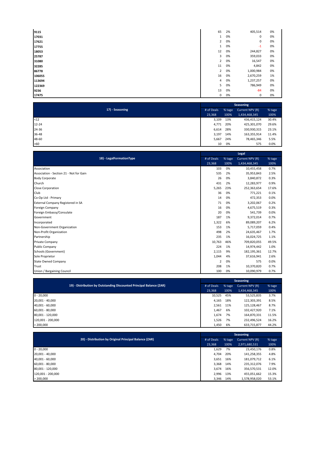| 9115   | 65             | 2% | 405,514   | 0% |
|--------|----------------|----|-----------|----|
| 17031  | $\mathbf{1}$   | 0% | 0         | 0% |
| 17621  | $\overline{2}$ | 0% | 0         | 0% |
| 17755  | $\mathbf{1}$   | 0% | $-1$      | 0% |
| 18053  | 12             | 0% | 244,827   | 0% |
| 25787  | 3              | 0% | 359,033   | 0% |
| 31080  | $\overline{2}$ | 0% | 16,547    | 0% |
| 32285  | 11             | 0% | 4,842     | 0% |
| 86778  | $\overline{2}$ | 0% | 1,000,984 | 0% |
| 106055 | 16             | 0% | 2,670,259 | 1% |
| 113694 | $\overline{4}$ | 0% | 1,237,257 | 0% |
| 122369 | 5              | 0% | 786,949   | 0% |
| 9236   | 13             | 0% | $-84$     | 0% |
| 17475  | 0              | 0% | 0         | 0% |

|                 |            | Seasoning |                 |        |  |  |
|-----------------|------------|-----------|-----------------|--------|--|--|
| 17) - Seasoning | # of Deals | % tage    | Current NPV (R) | % tage |  |  |
|                 | 23,368     | 100%      | 1,434,468,345   | 100%   |  |  |
| $12$            | 3,109      | 13%       | 436,415,124     | 30.4%  |  |  |
| $12 - 24$       | 4,771      | 20%       | 425,301,070     | 29.6%  |  |  |
| 24-36           | 6,614      | 28%       | 330,930,315     | 23.1%  |  |  |
| 36-48           | 3,197      | 14%       | 163,355,914     | 11.4%  |  |  |
| 48-60           | 5,667      | 24%       | 78,465,346      | 5.5%   |  |  |
| $>60$           | 10         | 0%        | 575             | 0.0%   |  |  |

|                                          | Legal          |        |                 |        |  |
|------------------------------------------|----------------|--------|-----------------|--------|--|
| 18) - LegalFormationType                 | # of Deals     | % tage | Current NPV (R) | % tage |  |
|                                          | 23,368         | 100%   | 1,434,468,345   | 100%   |  |
| Association                              | 103            | 0%     | 10,455,458      | 0.7%   |  |
| Association - Section 21 - Not for Gain  | 535            | 2%     | 35,953,843      | 2.5%   |  |
| <b>Body Corporate</b>                    | 26             | 0%     | 3,840,872       | 0.3%   |  |
| Church                                   | 431            | 2%     | 12,283,977      | 0.9%   |  |
| <b>Close Corporation</b>                 | 5,265          | 23%    | 252,363,654     | 17.6%  |  |
| Club                                     | 36             | 0%     | 771,221         | 0.1%   |  |
| Co-Op Ltd - Primary                      | 14             | 0%     | 472,353         | 0.0%   |  |
| <b>External Company Registered in SA</b> | 71             | 0%     | 3,202,067       | 0.2%   |  |
| <b>Foreign Company</b>                   | 16             | 0%     | 4,675,519       | 0.3%   |  |
| Foreign Embassy/Consulate                | 20             | 0%     | 541,739         | 0.0%   |  |
| Government                               | 187            | 1%     | 9,372,014       | 0.7%   |  |
| Incorporated                             | 1,322          | 6%     | 89,089,207      | 6.2%   |  |
| Non-Government Organization              | 153            | 1%     | 5,717,059       | 0.4%   |  |
| Non-Profit Organization                  | 498            | 2%     | 24,635,467      | 1.7%   |  |
| Partnership                              | 235            | 1%     | 16,024,725      | 1.1%   |  |
| Private Company                          | 10,763         | 46%    | 709,820,055     | 49.5%  |  |
| Public Company                           | 224            | 1%     | 14,974,442      | 1.0%   |  |
| Schools (Government)                     | 2,115          | 9%     | 182,195,361     | 12.7%  |  |
| Sole Proprietor                          | 1,044          | 4%     | 37,616,941      | 2.6%   |  |
| <b>State Owned Company</b>               | $\overline{2}$ | 0%     | 575             | 0.0%   |  |
| Trust                                    | 208            | 1%     | 10,370,820      | 0.7%   |  |
| Union / Bargaining Council               | 100            | 0%     | 10,090,979      | 0.7%   |  |

|                   |                                                                      | Seasoning  |        |                 |        |  |  |
|-------------------|----------------------------------------------------------------------|------------|--------|-----------------|--------|--|--|
|                   | 19) - Distribution by Outstanding Discounted Principal Balance (ZAR) | # of Deals | % tage | Current NPV (R) | % tage |  |  |
|                   |                                                                      | 23,368     | 100%   | 1,434,468,345   | 100%   |  |  |
| $0 - 20,000$      |                                                                      | 10,525     | 45%    | 53,525,835      | 3.7%   |  |  |
| 20,001 - 40,000   |                                                                      | 4,165      | 18%    | 122,303,391     | 8.5%   |  |  |
| 40,001 - 60,000   |                                                                      | 2,561      | 11%    | 125,128,467     | 8.7%   |  |  |
| 60,001 - 80,000   |                                                                      | 1,467      | 6%     | 102,427,920     | 7.1%   |  |  |
| 80,001 - 120,000  |                                                                      | 1,674      | 7%     | 164,870,331     | 11.5%  |  |  |
| 120,001 - 200,000 |                                                                      | 1,526      | 7%     | 232,496,524     | 16.2%  |  |  |
| > 200,000         |                                                                      | 1,450      | 6%     | 633,715,877     | 44.2%  |  |  |

|                                                        |            | <b>Seasoning</b> |                 |        |  |  |  |
|--------------------------------------------------------|------------|------------------|-----------------|--------|--|--|--|
| 20) - Distribution by Original Principal Balance (ZAR) | # of Deals | % tage           | Current NPV (R) | % tage |  |  |  |
|                                                        |            | 100%             | 2,971,680,531   | 100%   |  |  |  |
| $0 - 20,000$                                           | 1,629      | 7%               | 23,450,176      | 0.8%   |  |  |  |
| 20,001 - 40,000                                        | 4.704      | 20%              | 141,258,355     | 4.8%   |  |  |  |
| 40,001 - 60,000                                        | 3,651      | 16%              | 181,079,712     | 6.1%   |  |  |  |
| 60,001 - 80,000                                        | 3,368      | 14%              | 235,312,076     | 7.9%   |  |  |  |
| 80,001 - 120,000                                       | 3,674      | 16%              | 356,570,531     | 12.0%  |  |  |  |
| 120,001 - 200,000                                      | 2,996      | 13%              | 455,051,662     | 15.3%  |  |  |  |
| > 200,000                                              | 3,346      | 14%              | 1,578,958,020   | 53.1%  |  |  |  |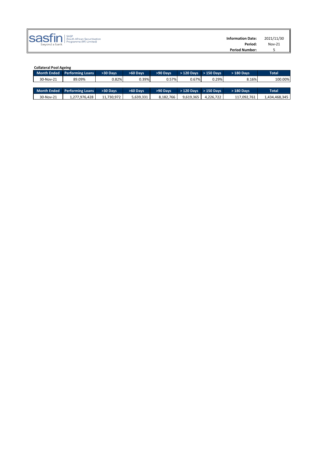

| <b>Collateral Pool Ageing</b> |            |           |           |             |             |             |               |
|-------------------------------|------------|-----------|-----------|-------------|-------------|-------------|---------------|
| <b>Performing Loans</b>       | >30 Days   | >60 Days  | >90 Days  | $>120$ Davs | $>150$ Davs | > 180 Days  | <b>Total</b>  |
| 89.09%                        | 0.82%      | 0.39%     |           |             |             | 8.16%       | 100.00%       |
|                               |            |           |           |             |             |             |               |
| <b>Performing Loans</b>       | >30 Days   | >60 Days  | >90 Days  | > 120 Days  | $>150$ Davs | > 180 Days  | <b>Total</b>  |
| 1,277,976,428                 | 11,730,972 | 5,639,331 | 8,182,766 | 9,619,365   | 4,226,722   | 117,092,761 | 1,434,468,345 |
|                               |            |           |           |             | 0.57%       | 0.67%       | 0.29%         |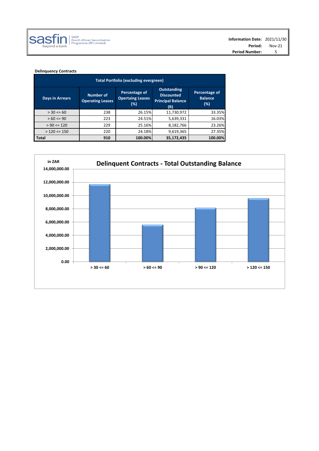

# **Delinquency Contracts**

| <b>Total Portfolio (excluding evergreen)</b>                   |     |                                                 |                                                                            |                                        |  |  |  |  |  |
|----------------------------------------------------------------|-----|-------------------------------------------------|----------------------------------------------------------------------------|----------------------------------------|--|--|--|--|--|
| Number of<br><b>Days in Arrears</b><br><b>Operating Leases</b> |     | Percentage of<br><b>Opertaing Leases</b><br>(%) | <b>Outstanding</b><br><b>Discounted</b><br><b>Principal Balance</b><br>(R) | Percentage of<br><b>Balance</b><br>(%) |  |  |  |  |  |
| $> 30 \le 60$                                                  | 238 | 26.15%                                          | 11,730,972                                                                 | 33.35%                                 |  |  |  |  |  |
| $>60 \le 90$                                                   | 223 | 24.51%                                          | 5,639,331                                                                  | 16.03%                                 |  |  |  |  |  |
| $> 90 \le 120$                                                 | 229 | 25.16%                                          | 8,182,766                                                                  | 23.26%                                 |  |  |  |  |  |
| $>120 \le 150$                                                 | 220 | 24.18%                                          | 9,619,365                                                                  | 27.35%                                 |  |  |  |  |  |
| <b>Total</b>                                                   | 910 | 100.00%                                         | 35,172,435                                                                 | 100.00%                                |  |  |  |  |  |

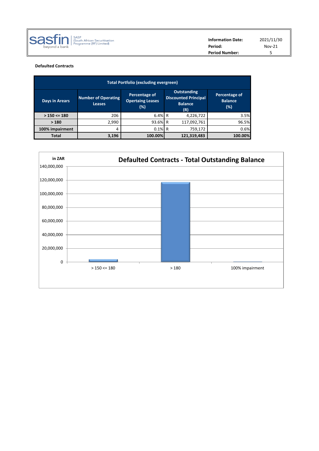|                       | $Nov-21$ |  |
|-----------------------|----------|--|
| <b>Period Number:</b> |          |  |

# **Defaulted Contracts**

| <b>Total Portfolio (excluding evergreen)</b> |                                                                                                          |           |                                                                     |                                           |  |  |  |  |  |
|----------------------------------------------|----------------------------------------------------------------------------------------------------------|-----------|---------------------------------------------------------------------|-------------------------------------------|--|--|--|--|--|
| Days in Arears                               | Percentage of<br><b>Number of Operating</b><br><b>Opertaing Leases</b><br><b>Leases</b><br>$(\%)$<br>(R) |           | <b>Outstanding</b><br><b>Discounted Principal</b><br><b>Balance</b> | Percentage of<br><b>Balance</b><br>$(\%)$ |  |  |  |  |  |
| $> 150 \le 180$                              | 206                                                                                                      | $6.4\%$ R | 4,226,722                                                           | 3.5%                                      |  |  |  |  |  |
| >180                                         | 2,990                                                                                                    | 93.6% R   | 117,092,761                                                         | 96.5%                                     |  |  |  |  |  |
| 100% impairment                              | 4                                                                                                        | $0.1\%$ R | 759,172                                                             | 0.6%                                      |  |  |  |  |  |
| <b>Total</b>                                 | 3,196                                                                                                    | 100.00%   | 121,319,483                                                         | 100.00%                                   |  |  |  |  |  |

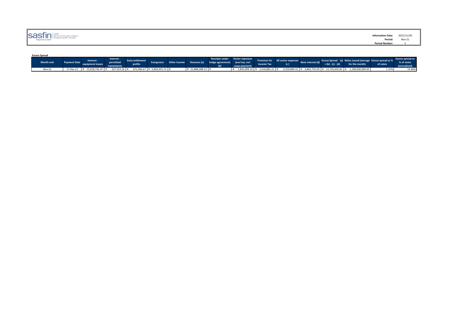| $\text{S35} \prod_{\text{beyond a bank}} \left  \bigcap_{\text{Frogramme (RF) Limited}} \right $ | Information Date: 2021/11/30 |                                                  |
|--------------------------------------------------------------------------------------------------|------------------------------|--------------------------------------------------|
|                                                                                                  | Period:                      | <b>Nov-21</b><br>the contract of the contract of |
|                                                                                                  | <b>Period Number:</b>        |                                                  |
|                                                                                                  |                              |                                                  |

### **Excess Spread**

| Month-end | Interest -                               | interest - | profits |                             |                   | Evergreens Other Income Revenue (a) hedge agreements excl tax, incl | Receipts under Senior expenses | <b>Provision for</b>          | <b>All senior expenses</b> Note interesses | $+(b)-(c)-(d)$ | <b>Excess Spread</b> (a) Notes issued (average Excess spread as %<br>for the month) | of notes | <b>Excess spread as</b><br>% of notes<br>(annualised) |
|-----------|------------------------------------------|------------|---------|-----------------------------|-------------------|---------------------------------------------------------------------|--------------------------------|-------------------------------|--------------------------------------------|----------------|-------------------------------------------------------------------------------------|----------|-------------------------------------------------------|
| Nov-21    | 17-Dec-21 R 15,018,742.47 R 327,523.26 R |            |         | 671,566.67 R 5,850,455.72 R | R 21,868,288,12 R |                                                                     |                                | 1,843,009.10 R 2,416,881.21 R |                                            |                | 4,259,890.31 R 4,862,792.00 R 12,745,605.81 R 1,108,000,000.00                      | 1.15%    | 13.80%                                                |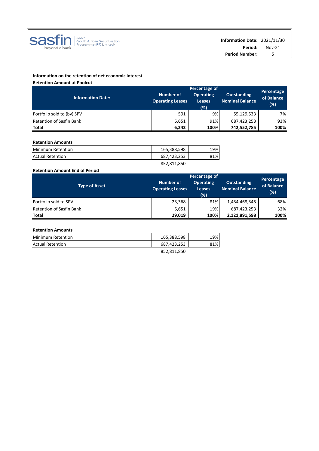

# **Information on the retention of net economic interest**

**Retention Amount at Poolcut**

|                                 |                                      | Percentage                               |                                              |                   |  |
|---------------------------------|--------------------------------------|------------------------------------------|----------------------------------------------|-------------------|--|
| <b>Information Date:</b>        | Number of<br><b>Operating Leases</b> | <b>Operating</b><br><b>Leases</b><br>(%) | <b>Outstanding</b><br><b>Nominal Balance</b> | of Balance<br>(%) |  |
| Portfolio sold to (by) SPV      | 591                                  | 9%                                       | 55,129,533                                   | 7%l               |  |
| <b>Retention of Sasfin Bank</b> | 5,651                                | 91%                                      | 687,423,253                                  | 93%               |  |
| Total                           | 6,242                                | 100%                                     | 742,552,785                                  | 100%              |  |

# **Retention Amounts**

| Minimum Retention       | 165,388,598 | 19% |
|-------------------------|-------------|-----|
| <b>Actual Retention</b> | 687.423.253 | 81% |
|                         | 852,811,850 |     |

# **Retention Amount End of Period**

|                                 | Percentage of                        |                                          |                                              |                                 |  |
|---------------------------------|--------------------------------------|------------------------------------------|----------------------------------------------|---------------------------------|--|
| <b>Type of Asset</b>            | Number of<br><b>Operating Leases</b> | <b>Operating</b><br><b>Leases</b><br>(%) | <b>Outstanding</b><br><b>Nominal Balance</b> | Percentage<br>of Balance<br>(%) |  |
| Portfolio sold to SPV           | 23,368                               | 81%                                      | 1,434,468,345                                | 68%                             |  |
| <b>Retention of Sasfin Bank</b> | 5,651                                | 19%                                      | 687,423,253                                  | 32%                             |  |
| Total                           | 29,019                               | 100%                                     | 2,121,891,598                                | 100%                            |  |

# **Retention Amounts**

| Minimum Retention       | 165,388,598 | 19% |
|-------------------------|-------------|-----|
| <b>Actual Retention</b> | 687,423,253 | 81% |
|                         | 852.811.850 |     |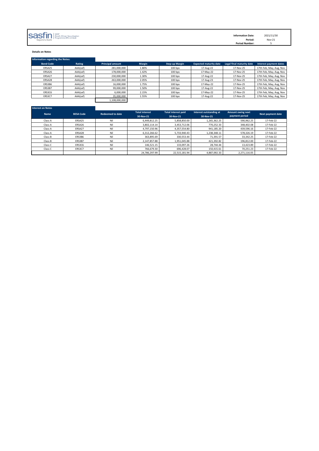| <b>SASFIN</b> SASP African Securitisation<br><b>Information Date:</b> | 2021/11/30 |
|-----------------------------------------------------------------------|------------|
| Period:<br>bevond a bank                                              | Nov-21     |
| <b>Period Number:</b>                                                 |            |

## **Details on Notes**

| <b>Information regarding the Notes:</b> |          |                         |        |                       |                               |                           |                         |
|-----------------------------------------|----------|-------------------------|--------|-----------------------|-------------------------------|---------------------------|-------------------------|
| <b>Bond Code</b>                        | Rating   | <b>Principal amount</b> | Margin | <b>Step-up Margin</b> | <b>Expected maturity date</b> | Legal final maturity date | Interest payment dates  |
| ERSA25                                  | AAA(zaf) | 281,000,000             | 1.80%  | 100 bps               | 17-Aug-22                     | 17-Nov-25                 | 17th Feb, May, Aug, Nov |
| ERSA26                                  | AAA(zaf) | 178,000,000             | 1.42%  | 100 bps               | 17-May-22                     | 17-Nov-25                 | 17th Feb, May, Aug, Nov |
| ERSA27                                  | AAA(zaf) | 230,000,000             | 1.30%  | 100 bps               | 17-Aug-22                     | 17-Nov-25                 | 17th Feb, May, Aug, Nov |
| ERSA28                                  | AAA(zaf) | 263,000,000             | 2.05%  | $100$ bps             | 17-Aug-23                     | 17-Nov-25                 | 17th Feb, May, Aug, Nov |
| ERS3B6                                  | AAA(zaf) | 16,000,000              | 1.75%  | 100 bps               | 17-May-22                     | 17-Nov-25                 | 17th Feb, May, Aug, Nov |
| ERS3B7                                  | AAA(zaf) | 99,000,000              | 1.50%  | 100 bps               | 17-Aug-22                     | 17-Nov-25                 | 17th Feb, May, Aug, Nov |
| ERS3C6                                  | AAA(zaf) | 6,000,000               | 2.15%  | 100 bps               | 17-May-22                     | 17-Nov-25                 | 17th Feb, May, Aug, Nov |
| ERS3C7                                  | AAA(zaf) | 35,000,000              | 1.55%  | 100 bps               | 17-Aug-22                     | 17-Nov-25                 | 17th Feb, May, Aug, Nov |
|                                         |          | 1,108,000,000           |        |                       |                               |                           |                         |

| <b>Interest on Notes</b> |                  |                         |                                    |                                         |                                      |                                     |                   |
|--------------------------|------------------|-------------------------|------------------------------------|-----------------------------------------|--------------------------------------|-------------------------------------|-------------------|
| <b>Name</b>              | <b>BESA Code</b> | <b>Redeemed to date</b> | <b>Total interest</b><br>30-Nov-21 | <b>Total interest paid</b><br>30-Nov-21 | Interest outstanding at<br>30-Nov-21 | Amount owing next<br>payment period | Next payment date |
| Class A                  | ERSA25           | Nil                     | 6.449.812.25                       | 5.858.850.00                            | 1,265,362.25                         | 590.962.25                          | 17-Feb-22         |
| Class A                  | ERSA26           | Nil                     | 3.802.114.14                       | 3.453.712.06                            | 770.252.33                           | 348,402.08                          | 17-Feb-22         |
| Class A                  | ERSA27           | Nil                     | 4.797.150.96                       | 4.357.554.80                            | 941,185.20                           | 439,596.16                          | 17-Feb-22         |
| Class A                  | ERSA28           | Nil                     | 6,312,266.62                       | 5,733,940.43                            | 1,238,348.11                         | 578,326.19                          | 17-Feb-22         |
| Class B                  | ERS3B6           | Nil                     | 363,895.69                         | 330.553.44                              | 71.391.57                            | 33.342.25                           | 17-Feb-22         |
| Class B                  | ERS3B7           | Nil                     | 2.147.857.88                       | 1.951.045.88                            | 421.392.82                           | 196.812.00                          | 17-Feb-22         |
| Class C                  | ERS3C6           | Nil                     | 146.521.15                         | 133.097.26                              | 28.744.44                            | 13,423.89                           | 17-Feb-22         |
| Class C                  | ERS3C7           | Nil                     | 766,679.30                         | 696,428.07                              | 150,415.61                           | 70,251.23                           | 17-Feb-22         |
|                          |                  |                         | 24,786,297.99                      | 22,515,181.94                           | 4,887,092.33                         | 2,271,116.05                        |                   |